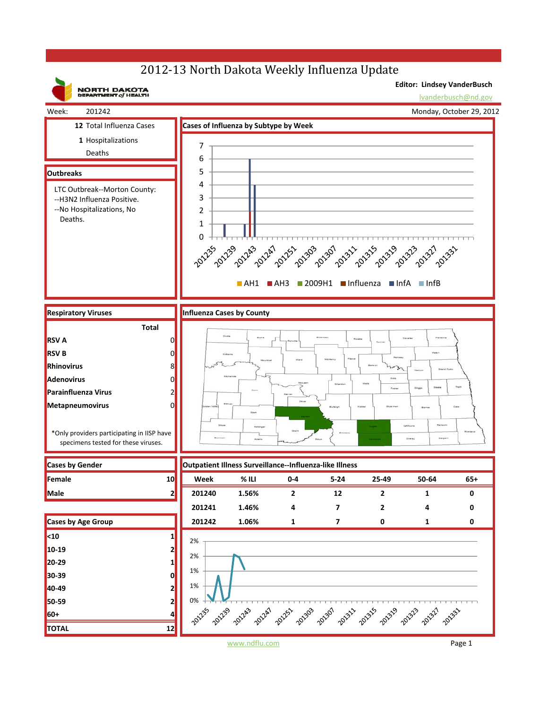## 2012-13 North Dakota Weekly Influenza Update



www.ndflu.com Page 1